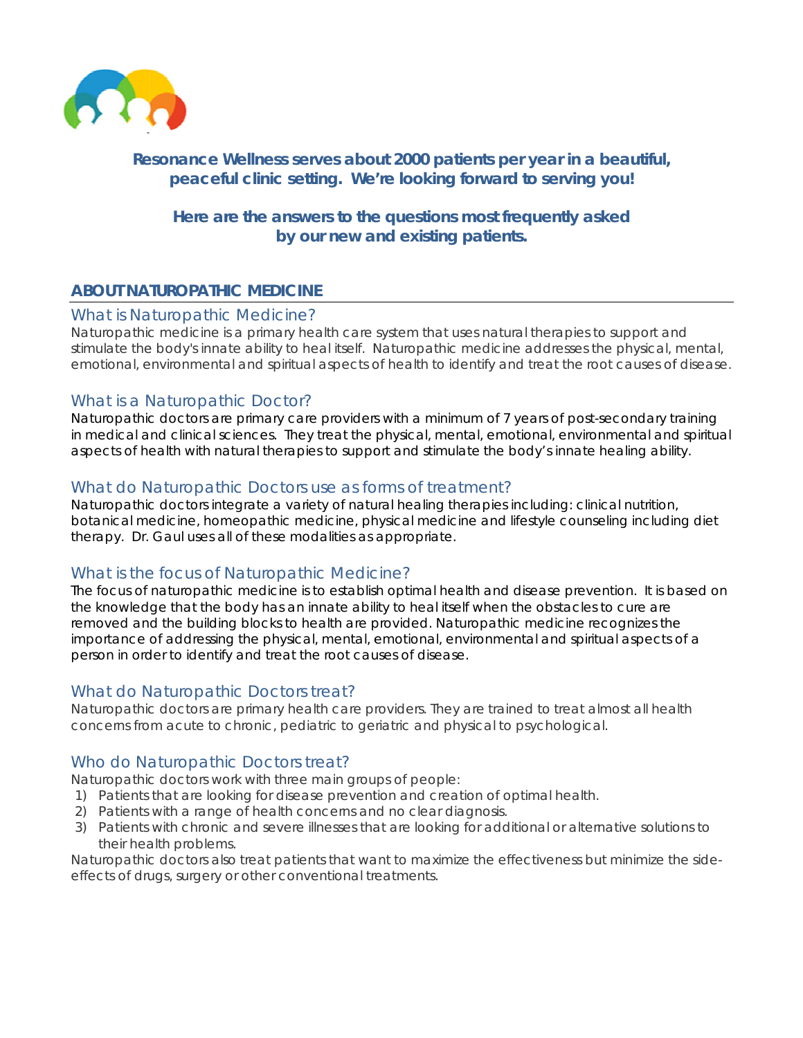

# Resonance Wellness serves about 2000 patients per year in a beautiful, peaceful clinic setting. We're looking forward to serving you!

# Here are the answers to the questions most frequently asked by our new and existing patients.

# **ABOUT NATUROPATHIC MEDICINE**

#### What is Naturopathic Medicine?

Naturopathic medicine is a primary health care system that uses natural therapies to support and stimulate the body's innate ability to heal itself. Naturopathic medicine addresses the physical, mental, emotional, environmental and spiritual aspects of health to identify and treat the root causes of disease.

## What is a Naturopathic Doctor?

Naturopathic doctors are primary care providers with a minimum of 7 years of post-secondary training in medical and clinical sciences. They treat the physical, mental, emotional, environmental and spiritual aspects of health with natural therapies to support and stimulate the body's innate healing ability.

## What do Naturopathic Doctors use as forms of treatment?

Naturopathic doctors integrate a variety of natural healing therapies including: clinical nutrition, botanical medicine, homeopathic medicine, physical medicine and lifestyle counseling including diet therapy. Dr. Gaul uses all of these modalities as appropriate.

## What is the focus of Naturopathic Medicine?

The focus of naturopathic medicine is to establish optimal health and disease prevention. It is based on the knowledge that the body has an innate ability to heal itself when the obstacles to cure are removed and the building blocks to health are provided. Naturopathic medicine recognizes the importance of addressing the physical, mental, emotional, environmental and spiritual aspects of a person in order to identify and treat the root causes of disease.

## What do Naturopathic Doctors treat?

Naturopathic doctors are primary health care providers. They are trained to treat almost all health concerns from acute to chronic, pediatric to geriatric and physical to psychological.

## Who do Naturopathic Doctors treat?

Naturopathic doctors work with three main groups of people:

- 1) Patients that are looking for disease prevention and creation of optimal health.
- 2) Patients with a range of health concerns and no clear diagnosis.
- 3) Patients with chronic and severe illnesses that are looking for additional or alternative solutions to their health problems.

Naturopathic doctors also treat patients that want to maximize the effectiveness but minimize the sideeffects of drugs, surgery or other conventional treatments.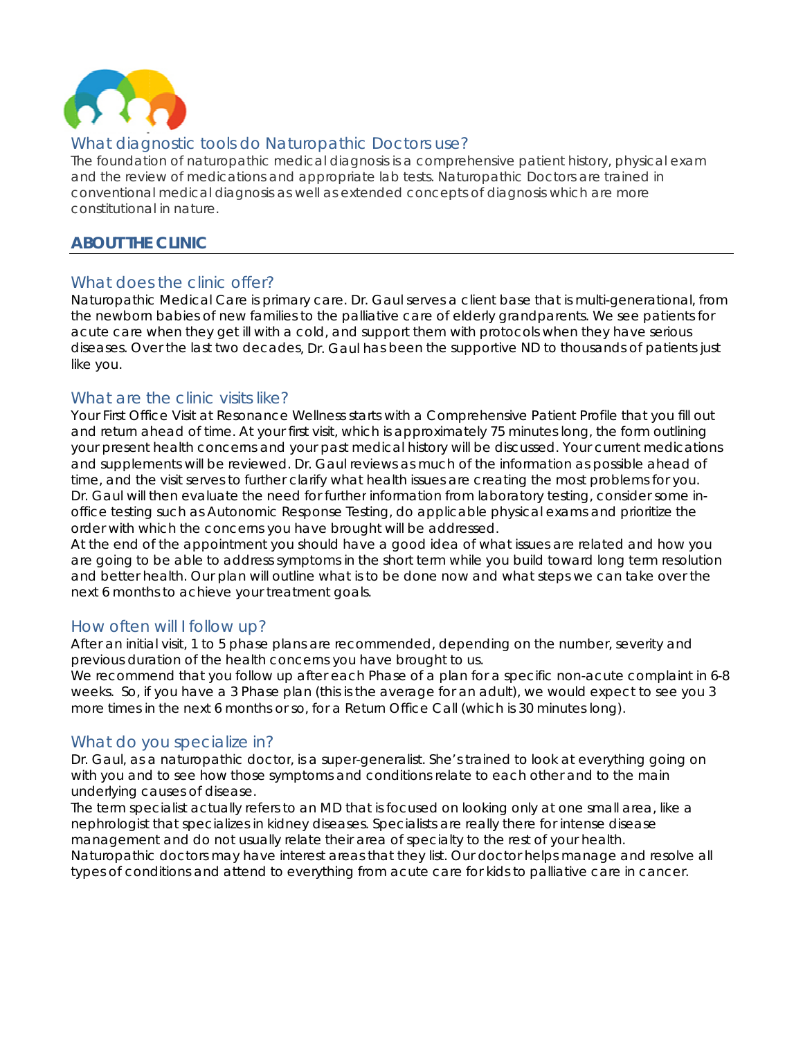

# What diagnostic tools do Naturopathic Doctors use?

The foundation of naturopathic medical diagnosis is a comprehensive patient history, physical exam and the review of medications and appropriate lab tests. Naturopathic Doctors are trained in conventional medical diagnosis as well as extended concepts of diagnosis which are more constitutional in nature

## **ABOUT THE CLINIC**

## What does the clinic offer?

Naturopathic Medical Care is primary care. Dr. Gaul serves a client base that is multi-generational, from the newborn babies of new families to the palliative care of elderly grandparents. We see patients for acute care when they get ill with a cold, and support them with protocols when they have serious diseases. Over the last two decades, Dr. Gaul has been the supportive ND to thousands of patients just like you.

## What are the clinic visits like?

Your First Office Visit at Resonance Wellness starts with a Comprehensive Patient Profile that you fill out and return ahead of time. At your first visit, which is approximately 75 minutes long, the form outlining your present health concerns and your past medical history will be discussed. Your current medications and supplements will be reviewed. Dr. Gaul reviews as much of the information as possible ahead of time, and the visit serves to further clarify what health issues are creating the most problems for you. Dr. Gaul will then evaluate the need for further information from laboratory testing, consider some inoffice testing such as Autonomic Response Testing, do applicable physical exams and prioritize the order with which the concerns you have brought will be addressed.

At the end of the appointment you should have a good idea of what issues are related and how you are going to be able to address symptoms in the short term while you build toward long term resolution and better health. Our plan will outline what is to be done now and what steps we can take over the next 6 months to achieve your treatment goals.

## How often will I follow up?

After an initial visit, 1 to 5 phase plans are recommended, depending on the number, severity and previous duration of the health concerns you have brought to us.

We recommend that you follow up after each Phase of a plan for a specific non-acute complaint in 6-8 weeks. So, if you have a 3 Phase plan (this is the average for an adult), we would expect to see you 3 more times in the next 6 months or so, for a Return Office Call (which is 30 minutes long).

## What do you specialize in?

Dr. Gaul, as a naturopathic doctor, is a super-generalist. She's trained to look at everything going on with you and to see how those symptoms and conditions relate to each other and to the main underlying causes of disease.

The term specialist actually refers to an MD that is focused on looking only at one small area, like a nephrologist that specializes in kidney diseases. Specialists are really there for intense disease management and do not usually relate their area of specialty to the rest of your health. Naturopathic doctors may have interest areas that they list. Our doctor helps manage and resolve all types of conditions and attend to everything from acute care for kids to palliative care in cancer.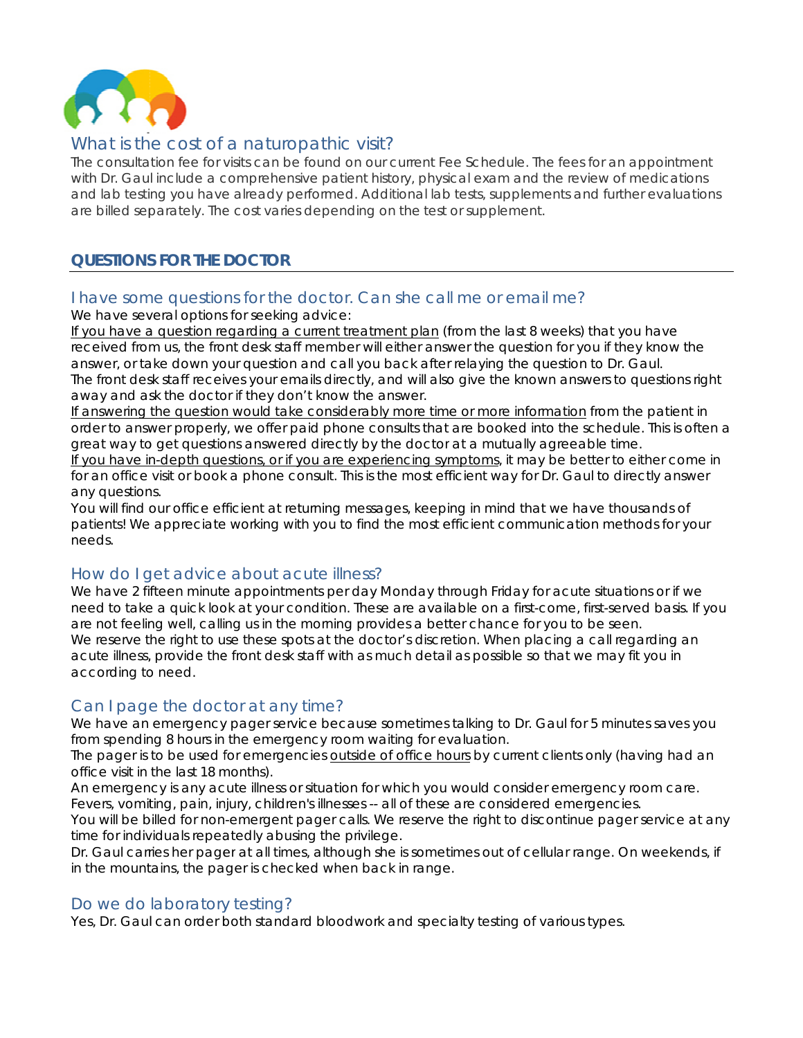

# What is the cost of a naturopathic visit?

The consultation fee for visits can be found on our current Fee Schedule. The fees for an appointment with Dr. Gaul include a comprehensive patient history, physical exam and the review of medications and lab testing you have already performed. Additional lab tests, supplements and further evaluations are billed separately. The cost varies depending on the test or supplement.

# **QUESTIONS FOR THE DOCTOR**

# I have some questions for the doctor. Can she call me or email me?

We have several options for seeking advice:

If you have a question regarding a current treatment plan (from the last 8 weeks) that you have <u>If you have a question regarding a current treatment plan</u> (from the last 8 weeks) that you have<br>received from us, the front desk staff member will either answer the question for you if they know the answer, or take down your question and call you back after relaying the question to Dr. Gaul. The front desk staff receives your emails directly, and will also give the known answers to questions right away and ask the doctor if they don't know the answer.

If answering the question would take considerably more time or more information from the patient in order to answer properly, we offer paid phone consults that are booked into the schedule. This is often a great way to get questions answered directly by the doctor at a mutually agreeable time.

If you have in-depth questions, or if you are experiencing symptoms, it may be better to either come in for an office visit or book a phone consult. This is the most efficient way for Dr. Gaul to directly answer a any question ns.

You will find our office efficient at returning messages, keeping in mind that we have thousands of patients! We appreciate working with you to find the most efficient communication methods for your n needs.

# How do I get advice about acute illness?

We have 2 fifteen minute appointments per day Monday through Friday for acute situations or if we need to take a quick look at your condition. These are available on a first-come, first-served basis. If you are not feeling well, calling us in the morning provides a better chance for you to be seen. We reserve the right to use these spots at the doctor's discretion. When placing a call regarding an acute illness, provide the front desk staff with as much detail as possible so that we may fit you in according to need. acute illness, provide the front desk staff with as much detail as possible so that we may fit you in<br>according to need.<br>Can I page the doctor at any time?<br>We have an emergency pager service because sometimes talking to Dr

# Can I page the doctor at any time?

from spending 8 hours in the emergency room waiting for evaluation.

The pager is to be used for emergencies **outside of office hours** by current clients only (having had an o office visit in the last 18 m months).

An emergency is any acute illness or situation for which you would consider emergency room care. Fevers, vomiting, pain, injury, children's illnesses -- all of these are considered emergencies.

You will be billed for non-emergent pager calls. We reserve the right to discontinue pager service at any time for individuals repeatedly abusing the privilege.

Dr. Gaul carries her pager at all times, although she is sometimes out of cellular range. On weekends, if in the mountains, the pager is checked when back in range.

## Do we do laboratory testing?

Yes, Dr. Gaul can order both standard bloodwork and specialty testing of various types.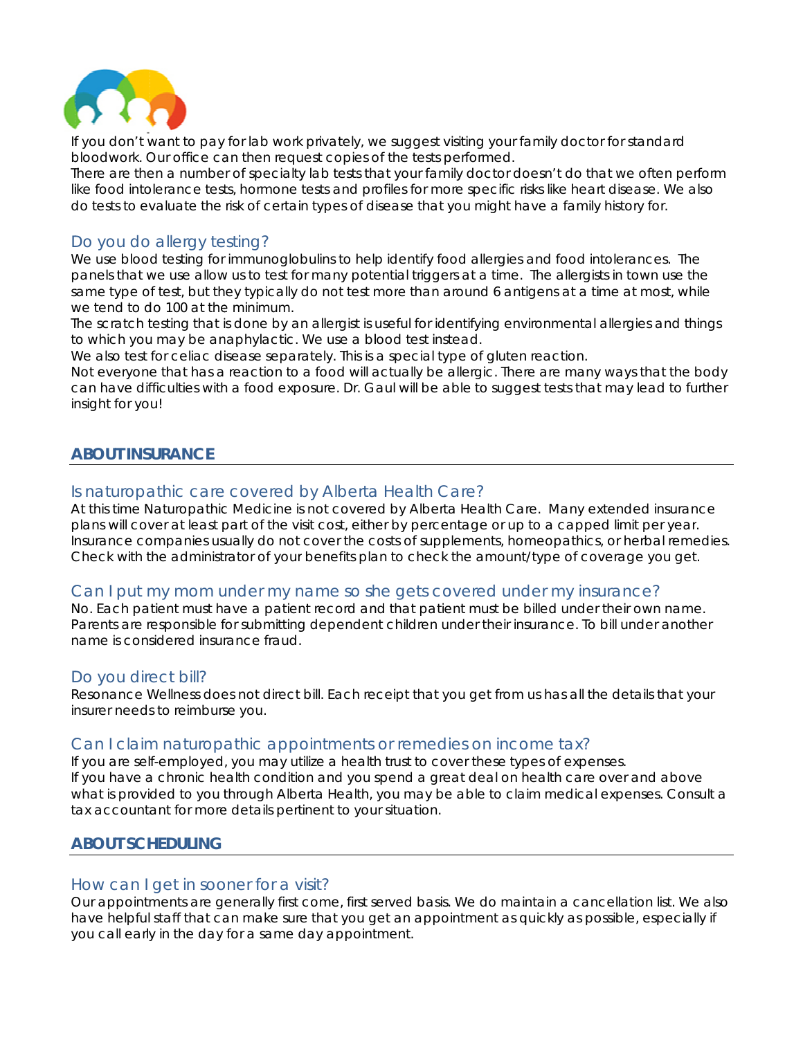

If you don't want to pay for lab work privately, we suggest visiting your family doctor for standard bloodwork. Our office can then request copies of the tests performed.

There are then a number of specialty lab tests that your family doctor doesn't do that we often perform like food intolerance tests, hormone tests and profiles for more specific risks like heart disease. We also do tests to evaluate the risk of certain types of disease that you might have a family history for.

## Do you do allergy testing?

We use blood testing for immunoglobulins to help identify food allergies and food intolerances. The panels that we use allow us to test for many potential triggers at a time. The allergists in town use the same type of test, but they typically do not test more than around 6 antigens at a time at most, while we tend to do 100 at the minimum.

The scratch testing that is done by an allergist is useful for identifying environmental allergies and things to which you may be anaphylactic. We use a blood test instead.

We also test for celiac disease separately. This is a special type of gluten reaction.

Not everyone that has a reaction to a food will actually be allergic. There are many ways that the body can have difficulties with a food exposure. Dr. Gaul will be able to suggest tests that may lead to further insight for you!

## **ABOUT INSURANCE**

## Is naturopathic care covered by Alberta Health Care?

At this time Naturopathic Medicine is not covered by Alberta Health Care. Many extended insurance plans will cover at least part of the visit cost, either by percentage or up to a capped limit per year. Insurance companies usually do not cover the costs of supplements, homeopathics, or herbal remedies. Check with the administrator of your benefits plan to check the amount/type of coverage you get.

## Can I put my mom under my name so she gets covered under my insurance?

No. Each patient must have a patient record and that patient must be billed under their own name. Parents are responsible for submitting dependent children under their insurance. To bill under another name is considered insurance fraud.

#### Do you direct bill?

name is considered insurance fraud.<br>Do you direct bill?<br>Resonance Wellness does not direct bill. Each receipt that you get from us has all the details that your in nsurer needs s to reimburs se you.

#### Can I claim naturopathic appointments or remedies on income tax?

If you are self-employed, you may utilize a health trust to cover these types of expenses. If you have a chronic health condition and you spend a great deal on health care over and above what is provided to you through Alberta Health, you may be able to claim medical expenses. Consult a tax accountant for more details pertinent to your situation.

#### **ABOUT SCHEDULING**

#### How can I get in sooner for a visit?

Our appointments are generally first come, first served basis. We do maintain a cancellation list. We also have helpful staff that can make sure that you get an appointment as quickly as possible, especially if you call early in the day for a same day appointment.